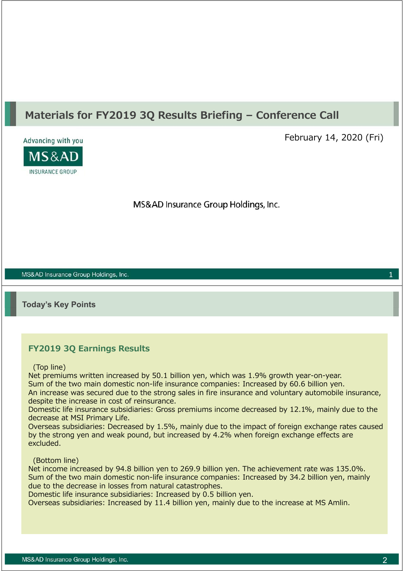# **Materials for FY2019 3Q Results Briefing – Conference Call**



February 14, 2020 (Fri)

MS&AD Insurance Group Holdings, Inc.

MS&AD Insurance Group Holdings, Inc.

**Today's Key Points**

# **FY2019 3Q Earnings Results**

(Top line)

Net premiums written increased by 50.1 billion yen, which was 1.9% growth year-on-year. Sum of the two main domestic non-life insurance companies: Increased by 60.6 billion yen. An increase was secured due to the strong sales in fire insurance and voluntary automobile insurance, despite the increase in cost of reinsurance.

Domestic life insurance subsidiaries: Gross premiums income decreased by 12.1%, mainly due to the decrease at MSI Primary Life.

Overseas subsidiaries: Decreased by 1.5%, mainly due to the impact of foreign exchange rates caused by the strong yen and weak pound, but increased by 4.2% when foreign exchange effects are excluded.

(Bottom line)

Net income increased by 94.8 billion yen to 269.9 billion yen. The achievement rate was 135.0%. Sum of the two main domestic non-life insurance companies: Increased by 34.2 billion yen, mainly due to the decrease in losses from natural catastrophes.

Domestic life insurance subsidiaries: Increased by 0.5 billion yen.

Overseas subsidiaries: Increased by 11.4 billion yen, mainly due to the increase at MS Amlin.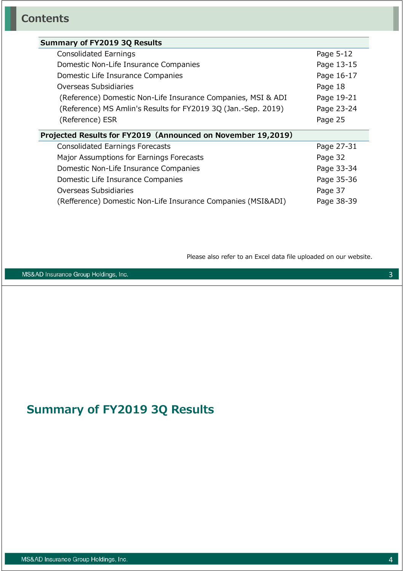| Summary of FY2019 3Q Results                                  |            |
|---------------------------------------------------------------|------------|
| Consolidated Earnings                                         | Page 5-12  |
| Domestic Non-Life Insurance Companies                         | Page 13-15 |
| Domestic Life Insurance Companies                             | Page 16-17 |
| Overseas Subsidiaries                                         | Page 18    |
| (Reference) Domestic Non-Life Insurance Companies, MSI & ADI  | Page 19-21 |
| (Reference) MS Amlin's Results for FY2019 3Q (Jan.-Sep. 2019) | Page 23-24 |
| (Reference) ESR                                               | Page 25    |
| Projected Results for FY2019 (Announced on November 19,2019)  |            |
| <b>Consolidated Earnings Forecasts</b>                        | Page 27-31 |
| Major Assumptions for Earnings Forecasts                      | Page 32    |
| Domestic Non-Life Insurance Companies                         | Page 33-34 |
| Domestic Life Insurance Companies                             | Page 35-36 |
| Overseas Subsidiaries                                         | Page 37    |
| (Refference) Domestic Non-Life Insurance Companies (MSI&ADI)  | Page 38-39 |
|                                                               |            |

Please also refer to an Excel data file uploaded on our website.

MS&AD Insurance Group Holdings, Inc.

# **Summary of FY2019 3Q Results**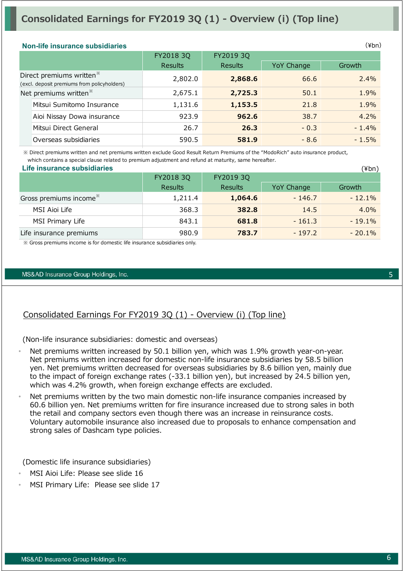# **Consolidated Earnings for FY2019 3Q (1) - Overview (i) (Top line)**

#### **Non-life insurance subsidiaries**

|                                                                                     | FY2018 3Q      | FY2019 3Q      |            |         |  |
|-------------------------------------------------------------------------------------|----------------|----------------|------------|---------|--|
|                                                                                     | <b>Results</b> | <b>Results</b> | YoY Change | Growth  |  |
| Direct premiums written <sup>*</sup><br>(excl. deposit premiums from policyholders) | 2,802.0        | 2,868.6        | 66.6       | 2.4%    |  |
| Net premiums written <sup>*</sup>                                                   | 2,675.1        | 2,725.3        | 50.1       | 1.9%    |  |
| Mitsui Sumitomo Insurance                                                           | 1,131.6        | 1,153.5        | 21.8       | 1.9%    |  |
| Aioi Nissay Dowa insurance                                                          | 923.9          | 962.6          | 38.7       | 4.2%    |  |
| Mitsui Direct General                                                               | 26.7           | 26.3           | $-0.3$     | $-1.4%$ |  |
| Overseas subsidiaries                                                               | 590.5          | 581.9          | $-8.6$     | $-1.5%$ |  |

 ※ Direct premiums written and net premiums written exclude Good Result Return Premiums of the "ModoRich" auto insurance product, which contains a special clause related to premium adjustment and refund at maturity, same hereafter.

| Life insurance subsidiaries        |                |                |            | (¥bn)     |
|------------------------------------|----------------|----------------|------------|-----------|
|                                    | FY2018 3Q      | FY2019 3Q      |            |           |
|                                    | <b>Results</b> | <b>Results</b> | YoY Change | Growth    |
| Gross premiums income <sup>*</sup> | 1,211.4        | 1,064.6        | $-146.7$   | $-12.1\%$ |
| MSI Aioi Life                      | 368.3          | 382.8          | 14.5       | $4.0\%$   |
| MSI Primary Life                   | 843.1          | 681.8          | $-161.3$   | $-19.1%$  |
| Life insurance premiums            | 980.9          | 783.7          | $-197.2$   | $-20.1\%$ |

※ Gross premiums income is for domestic life insurance subsidiaries only.

#### MS&AD Insurance Group Holdings, Inc.

# Consolidated Earnings For FY2019 3Q (1) - Overview (i) (Top line)

(Non-life insurance subsidiaries: domestic and overseas)

- Net premiums written increased by 50.1 billion yen, which was 1.9% growth year-on-year. Net premiums written increased for domestic non-life insurance subsidiaries by 58.5 billion yen. Net premiums written decreased for overseas subsidiaries by 8.6 billion yen, mainly due to the impact of foreign exchange rates (-33.1 billion yen), but increased by 24.5 billion yen, which was 4.2% growth, when foreign exchange effects are excluded.
- Net premiums written by the two main domestic non-life insurance companies increased by 60.6 billion yen. Net premiums written for fire insurance increased due to strong sales in both the retail and company sectors even though there was an increase in reinsurance costs. Voluntary automobile insurance also increased due to proposals to enhance compensation and strong sales of Dashcam type policies.

(Domestic life insurance subsidiaries)

- MSI Aioi Life: Please see slide 16
- MSI Primary Life: Please see slide 17

(¥bn)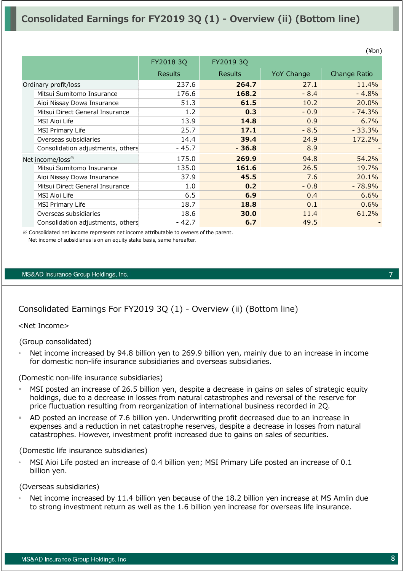|                                   |                |                |                   | $\cdots$     |
|-----------------------------------|----------------|----------------|-------------------|--------------|
|                                   | FY2018 3Q      | FY2019 3Q      |                   |              |
|                                   | <b>Results</b> | <b>Results</b> | <b>YoY Change</b> | Change Ratio |
| Ordinary profit/loss              | 237.6          | 264.7          | 27.1              | 11.4%        |
| Mitsui Sumitomo Insurance         | 176.6          | 168.2          | $-8.4$            | $-4.8%$      |
| Aioi Nissay Dowa Insurance        | 51.3           | 61.5           | 10.2              | 20.0%        |
| Mitsui Direct General Insurance   | 1.2            | 0.3            | $-0.9$            | $-74.3%$     |
| <b>MSI Aioi Life</b>              | 13.9           | 14.8           | 0.9               | 6.7%         |
| MSI Primary Life                  | 25.7           | 17.1           | $-8.5$            | $-33.3%$     |
| Overseas subsidiaries             | 14.4           | 39.4           | 24.9              | 172.2%       |
| Consolidation adjustments, others | - 45.7         | $-36.8$        | 8.9               |              |
| Net income/loss <sup>**</sup>     | 175.0          | 269.9          | 94.8              | 54.2%        |
| Mitsui Sumitomo Insurance         | 135.0          | 161.6          | 26.5              | 19.7%        |
| Aioi Nissay Dowa Insurance        | 37.9           | 45.5           | 7.6               | 20.1%        |
| Mitsui Direct General Insurance   | 1.0            | 0.2            | $-0.8$            | $-78.9%$     |
| <b>MSI Aioi Life</b>              | 6.5            | 6.9            | 0.4               | 6.6%         |
| MSI Primary Life                  | 18.7           | 18.8           | 0.1               | 0.6%         |
| Overseas subsidiaries             | 18.6           | 30.0           | 11.4              | 61.2%        |
| Consolidation adjustments, others | $-42.7$        | 6.7            | 49.5              |              |

※ Consolidated net income represents net income attributable to owners of the parent. Net income of subsidiaries is on an equity stake basis, same hereafter.

#### MS&AD Insurance Group Holdings, Inc.

# Consolidated Earnings For FY2019 3Q (1) - Overview (ii) (Bottom line)

#### <Net Income>

(Group consolidated)

Net income increased by 94.8 billion yen to 269.9 billion yen, mainly due to an increase in income for domestic non-life insurance subsidiaries and overseas subsidiaries.

(Domestic non-life insurance subsidiaries)

- MSI posted an increase of 26.5 billion yen, despite a decrease in gains on sales of strategic equity holdings, due to a decrease in losses from natural catastrophes and reversal of the reserve for price fluctuation resulting from reorganization of international business recorded in 2Q.
- AD posted an increase of 7.6 billion yen. Underwriting profit decreased due to an increase in expenses and a reduction in net catastrophe reserves, despite a decrease in losses from natural catastrophes. However, investment profit increased due to gains on sales of securities.

(Domestic life insurance subsidiaries)

• MSI Aioi Life posted an increase of 0.4 billion yen; MSI Primary Life posted an increase of 0.1 billion yen.

(Overseas subsidiaries)

Net income increased by 11.4 billion yen because of the 18.2 billion yen increase at MS Amlin due to strong investment return as well as the 1.6 billion yen increase for overseas life insurance.

7

 $(Yhn)$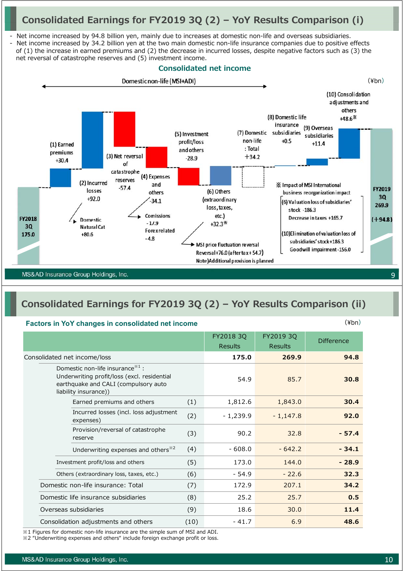# **Consolidated Earnings for FY2019 3Q (2) – YoY Results Comparison (i)**

Net income increased by 94.8 billion yen, mainly due to increases at domestic non-life and overseas subsidiaries.

Net income increased by 34.2 billion yen at the two main domestic non-life insurance companies due to positive effects of (1) the increase in earned premiums and (2) the decrease in incurred losses, despite negative factors such as (3) the net reversal of catastrophe reserves and (5) investment income.



# **Consolidated Earnings for FY2019 3Q (2) – YoY Results Comparison (ii)**

#### **Factors in YoY changes in consolidated net income**

|                                                                                                                                                    |      | FY2018 3Q<br><b>Results</b> | FY2019 3Q<br>Results | <b>Difference</b> |
|----------------------------------------------------------------------------------------------------------------------------------------------------|------|-----------------------------|----------------------|-------------------|
| Consolidated net income/loss                                                                                                                       |      | 175.0                       | 269.9                | 94.8              |
| Domestic non-life insurance $*1$ :<br>Underwriting profit/loss (excl. residential<br>earthquake and CALI (compulsory auto<br>liability insurance)) |      | 54.9                        | 85.7                 | 30.8              |
| Earned premiums and others                                                                                                                         | (1)  | 1,812.6                     | 1,843.0              | 30.4              |
| Incurred losses (incl. loss adjustment<br>expenses)                                                                                                | (2)  | $-1,239.9$                  | $-1,147.8$           | 92.0              |
| Provision/reversal of catastrophe<br>reserve                                                                                                       | (3)  | 90.2                        | 32.8                 | $-57.4$           |
| Underwriting expenses and others <sup>*2</sup>                                                                                                     | (4)  | $-608.0$                    | $-642.2$             | $-34.1$           |
| Investment profit/loss and others                                                                                                                  | (5)  | 173.0                       | 144.0                | $-28.9$           |
| Others (extraordinary loss, taxes, etc.)                                                                                                           | (6)  | $-54.9$                     | $-22.6$              | 32.3              |
| Domestic non-life insurance: Total                                                                                                                 | (7)  | 172.9                       | 207.1                | 34.2              |
| Domestic life insurance subsidiaries                                                                                                               | (8)  | 25.2                        | 25.7                 | 0.5               |
| Overseas subsidiaries                                                                                                                              | (9)  | 18.6                        | 30.0                 | 11.4              |
| Consolidation adjustments and others                                                                                                               | (10) | $-41.7$                     | 6.9                  | 48.6              |

※1 Figures for domestic non-life insurance are the simple sum of MSI and ADI.

※2 "Underwriting expenses and others" include foreign exchange profit or loss.

(¥bn)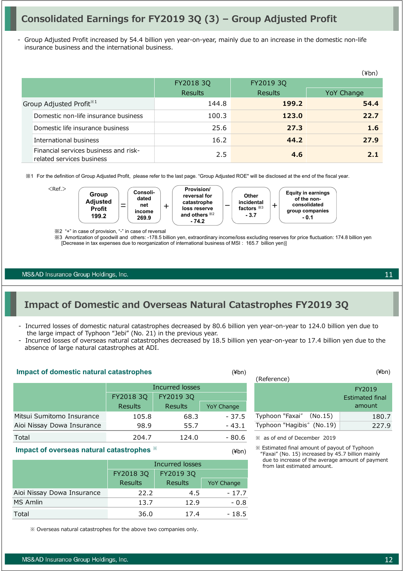# **Consolidated Earnings for FY2019 3Q (3) – Group Adjusted Profit**

Group Adjusted Profit increased by 54.4 billion yen year-on-year, mainly due to an increase in the domestic non-life insurance business and the international business.

|                                                                    |                |                | (¥bn)      |
|--------------------------------------------------------------------|----------------|----------------|------------|
|                                                                    | FY2018 3Q      | FY2019 3Q      |            |
|                                                                    | <b>Results</b> | <b>Results</b> | YoY Change |
| Group Adjusted Profit <sup>*1</sup>                                | 144.8          | 199.2          | 54.4       |
| Domestic non-life insurance business                               | 100.3          | 123.0          | 22.7       |
| Domestic life insurance business                                   | 25.6           | 27.3           | 1.6        |
| International business                                             | 16.2           | 44.2           | 27.9       |
| Financial services business and risk-<br>related services business | 2.5            | 4.6            | 2.1        |

※1 For the definition of Group Adjusted Profit, please refer to the last page. "Group Adjusted ROE" will be disclosed at the end of the fiscal year.



※2 "+" in case of provision, "-" in case of reversal

※3 Amortization of goodwill and others: -178.5 billion yen, extraordinary income/loss excluding reserves for price fluctuation: 174.8 billion yen [Decrease in tax expenses due to reorganization of international business of MSI : 165.7 billion yen)]

MS&AD Insurance Group Holdings, Inc.

# **Impact of Domestic and Overseas Natural Catastrophes FY2019 3Q**

- Incurred losses of domestic natural catastrophes decreased by 80.6 billion yen year-on-year to 124.0 billion yen due to the large impact of Typhoon "Jebi" (No. 21) in the previous year.
- Incurred losses of overseas natural catastrophes decreased by 18.5 billion yen year-on-year to 17.4 billion yen due to the absence of large natural catastrophes at ADI.

(¥bn)

#### **Impact of domestic natural catastrophes** (¥bn)

|                            | Incurred losses |                |                   |  |  |  |
|----------------------------|-----------------|----------------|-------------------|--|--|--|
|                            | FY2018 3Q       |                |                   |  |  |  |
|                            | <b>Results</b>  | <b>Results</b> | <b>YoY Change</b> |  |  |  |
| Mitsui Sumitomo Insurance  | 105.8           | 68.3           | $-37.5$           |  |  |  |
| Aioi Nissay Dowa Insurance | 98.9            | 55.7           | - 43.1            |  |  |  |
| Total                      | 204.7           | 124.0          | - 80.6            |  |  |  |

#### **Impact of overseas natural catastrophes** ※

|                            | Incurred losses        |                |                   |  |  |
|----------------------------|------------------------|----------------|-------------------|--|--|
|                            | FY2018 3Q<br>FY2019 3Q |                |                   |  |  |
|                            | <b>Results</b>         | <b>Results</b> | <b>YoY Change</b> |  |  |
| Aioi Nissay Dowa Insurance | 22.2                   | 4.5            | $-17.7$           |  |  |
| MS Amlin                   | 13.7                   | 12.9           | $-0.8$            |  |  |
| Total                      | 36.0                   | 17.4           | - 18.5            |  |  |

※ Overseas natural catastrophes for the above two companies only.

| (¥bn)             | $(\nPsi b n)$                                                          |
|-------------------|------------------------------------------------------------------------|
|                   |                                                                        |
|                   | FY2019                                                                 |
|                   | <b>Estimated final</b>                                                 |
| <b>YoY Change</b> | amount                                                                 |
| $-37.5$           | 180.7                                                                  |
| - 43.1            | 227.9                                                                  |
|                   | (Reference)<br>Typhoon "Faxai"<br>(No.15)<br>Typhoon "Hagibis" (No.19) |

※ as of end of December 2019

※ Estimated final amount of payout of Typhoon "Faxai" (No. 15) increased by 45.7 billion mainly due to increase of the average amount of payment from last estimated amount.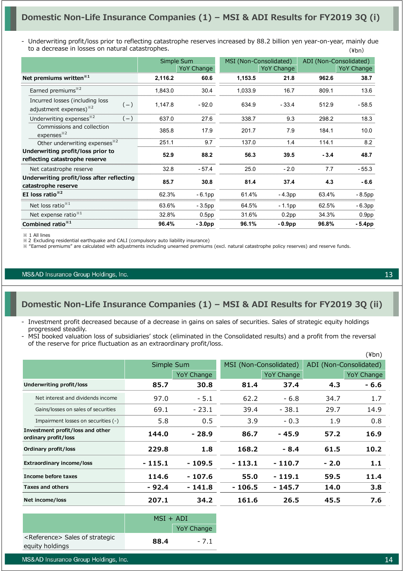(¥bn) - Underwriting profit/loss prior to reflecting catastrophe reserves increased by 88.2 billion yen year-on-year, mainly due to a decrease in losses on natural catastrophes.

|                                                                                |         | Simple Sum        |         | MSI (Non-Consolidated) |        | ADI (Non-Consolidated) |
|--------------------------------------------------------------------------------|---------|-------------------|---------|------------------------|--------|------------------------|
|                                                                                |         | <b>YoY Change</b> |         | YoY Change             |        | YoY Change             |
|                                                                                |         |                   |         |                        |        |                        |
| Net premiums written <sup>*1</sup>                                             | 2,116.2 | 60.6              | 1,153.5 | 21.8                   | 962.6  | 38.7                   |
| Earned premiums <sup>*2</sup>                                                  | 1,843.0 | 30.4              | 1,033.9 | 16.7                   | 809.1  | 13.6                   |
| Incurred losses (including loss<br>$(-)$<br>adjustment expenses) <sup>32</sup> | 1,147.8 | $-92.0$           | 634.9   | $-33.4$                | 512.9  | $-58.5$                |
| Underwriting expenses <sup>*2</sup><br>$(-)$                                   | 637.0   | 27.6              | 338.7   | 9.3                    | 298.2  | 18.3                   |
| Commissions and collection<br>expenses <sup>32</sup>                           | 385.8   | 17.9              | 201.7   | 7.9                    | 184.1  | 10.0                   |
| Other underwriting expenses <sup>32</sup>                                      | 251.1   | 9.7               | 137.0   | 1.4                    | 114.1  | 8.2                    |
| Underwriting profit/loss prior to                                              |         |                   |         |                        |        |                        |
| reflecting catastrophe reserve                                                 | 52.9    | 88.2              | 56.3    | 39.5                   | $-3.4$ | 48.7                   |
| Net catastrophe reserve                                                        | 32.8    | $-57.4$           | 25.0    | $-2.0$                 | 7.7    | $-55.3$                |
| Underwriting profit/loss after reflecting                                      | 85.7    | 30.8              | 81.4    | 37.4                   | 4.3    | $-6.6$                 |
| catastrophe reserve                                                            |         |                   |         |                        |        |                        |
| EI loss ratio $*^{2}$                                                          | 62.3%   | $-6.1pp$          | 61.4%   | $-4.3pp$               | 63.4%  | $-8.5pp$               |
| Net loss ratio <sup>*1</sup>                                                   | 63.6%   | $-3.5pp$          | 64.5%   | $-1.1$ pp              | 62.5%  | $-6.3pp$               |
| Net expense ratio <sup>*1</sup>                                                | 32.8%   | 0.5 <sub>pp</sub> | 31.6%   | 0.2 <sub>pp</sub>      | 34.3%  | 0.9 <sub>pp</sub>      |
| Combined ratio <sup>*1</sup>                                                   | 96.4%   | $-3.0pp$          | 96.1%   | $-0.9$ pp              | 96.8%  | $-5.4$ pp              |

※ 1 All lines

※2 Excluding residential earthquake and CALI (compulsory auto liability insurance)

※ "Earned premiums" are calculated with adjustments including unearned premiums (excl. natural catastrophe policy reserves) and reserve funds.

#### MS&AD Insurance Group Holdings, Inc.

# **Domestic Non-Life Insurance Companies (1) – MSI & ADI Results for FY2019 3Q (ii)**

- Investment profit decreased because of a decrease in gains on sales of securities. Sales of strategic equity holdings progressed steadily.
- MSI booked valuation loss of subsidiaries' stock (eliminated in the Consolidated results) and a profit from the reversal of the reserve for price fluctuation as an extraordinary profit/loss.

|                                                          |            |                   |                        |                   |                        | $(\n{Fbn})$       |
|----------------------------------------------------------|------------|-------------------|------------------------|-------------------|------------------------|-------------------|
|                                                          | Simple Sum |                   | MSI (Non-Consolidated) |                   | ADI (Non-Consolidated) |                   |
|                                                          |            | <b>YoY Change</b> |                        | <b>YoY Change</b> |                        | <b>YoY Change</b> |
| Underwriting profit/loss                                 | 85.7       | 30.8              | 81.4                   | 37.4              | 4.3                    | - 6.6             |
| Net interest and dividends income                        | 97.0       | $-5.1$            | 62.2                   | $-6.8$            | 34.7                   | 1.7               |
| Gains/losses on sales of securities                      | 69.1       | $-23.1$           | 39.4                   | $-38.1$           | 29.7                   | 14.9              |
| Impairment losses on securities (-)                      | 5.8        | 0.5               | 3.9                    | $-0.3$            | 1.9                    | 0.8               |
| Investment profit/loss and other<br>ordinary profit/loss | 144.0      | $-28.9$           | 86.7                   | - 45.9            | 57.2                   | 16.9              |
| Ordinary profit/loss                                     | 229.8      | 1.8               | 168.2                  | $-8.4$            | 61.5                   | 10.2              |
| <b>Extraordinary income/loss</b>                         | $-115.1$   | - 109.5           | $-113.1$               | $-110.7$          | $-2.0$                 | 1.1               |
| Income before taxes                                      | 114.6      | - 107.6           | 55.0                   | $-119.1$          | 59.5                   | 11.4              |
| <b>Taxes and others</b>                                  | - 92.4     | - 141.8           | $-106.5$               | $-145.7$          | 14.0                   | 3.8 <sub>2</sub>  |
| Net income/loss                                          | 207.1      | 34.2              | 161.6                  | 26.5              | 45.5                   | 7.6               |

|                                                                | $MSI + ADI$ |                   |
|----------------------------------------------------------------|-------------|-------------------|
|                                                                |             | <b>YoY Change</b> |
| <reference> Sales of strategic<br/>equity holdings</reference> | 88.4        | $-7.1$            |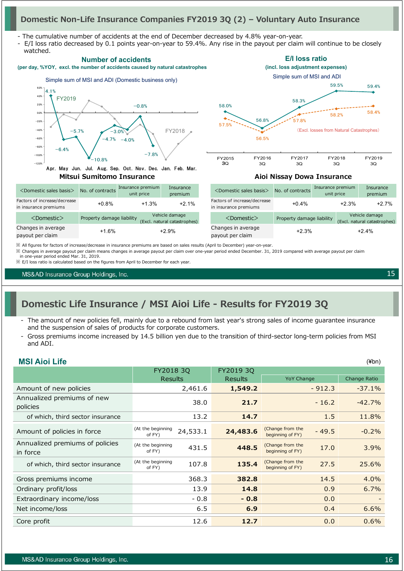### **Domestic Non-Life Insurance Companies FY2019 3Q (2) – Voluntary Auto Insurance**

- The cumulative number of accidents at the end of December decreased by 4.8% year-on-year.

- E/I loss ratio decreased by 0.1 points year-on-year to 59.4%. Any rise in the payout per claim will continue to be closely



※ All figures for factors of increase/decrease in insurance premiums are based on sales results (April to December) year-on-year.

※ Changes in average payout per claim means changes in average payout per claim over one-year period ended December. 31, 2019 compared with average payout per claim in one-year period ended Mar. 31, 2019.

※ E/I loss ratio is calculated based on the figures from April to December for each year.

MS&AD Insurance Group Holdings, Inc.

**MSI Aioi Life**

# **Domestic Life Insurance / MSI Aioi Life - Results for FY2019 3Q**

- The amount of new policies fell, mainly due to a rebound from last year's strong sales of income quarantee insurance and the suspension of sales of products for corporate customers.
- Gross premiums income increased by 14.5 billion yen due to the transition of third-sector long-term policies from MSI and ADI.

| <b>MSI Aioi Life</b>                        |                             |          |                |                                      |          | $(\n{Fbn})$  |
|---------------------------------------------|-----------------------------|----------|----------------|--------------------------------------|----------|--------------|
|                                             | FY2018 3Q                   |          | FY2019 3Q      |                                      |          |              |
|                                             | <b>Results</b>              |          | <b>Results</b> | <b>YoY Change</b>                    |          | Change Ratio |
| Amount of new policies                      |                             | 2,461.6  | 1,549.2        |                                      | $-912.3$ | $-37.1%$     |
| Annualized premiums of new<br>policies      |                             | 38.0     | 21.7           |                                      | $-16.2$  | $-42.7%$     |
| of which, third sector insurance            |                             | 13.2     | 14.7           |                                      | 1.5      | 11.8%        |
| Amount of policies in force                 | (At the beginning<br>of FY) | 24,533.1 | 24,483.6       | (Change from the<br>beginning of FY) | $-49.5$  | $-0.2%$      |
| Annualized premiums of policies<br>in force | (At the beginning<br>of FY) | 431.5    | 448.5          | (Change from the<br>beginning of FY) | 17.0     | 3.9%         |
| of which, third sector insurance            | (At the beginning<br>of FY) | 107.8    | 135.4          | (Change from the<br>beginning of FY) | 27.5     | 25.6%        |
| Gross premiums income                       |                             | 368.3    | 382.8          |                                      | 14.5     | 4.0%         |
| Ordinary profit/loss                        |                             | 13.9     | 14.8           |                                      | 0.9      | 6.7%         |
| Extraordinary income/loss                   |                             | $-0.8$   | $-0.8$         |                                      | 0.0      |              |
| Net income/loss                             |                             | 6.5      | 6.9            |                                      | 0.4      | 6.6%         |
| Core profit                                 |                             | 12.6     | 12.7           |                                      | 0.0      | 0.6%         |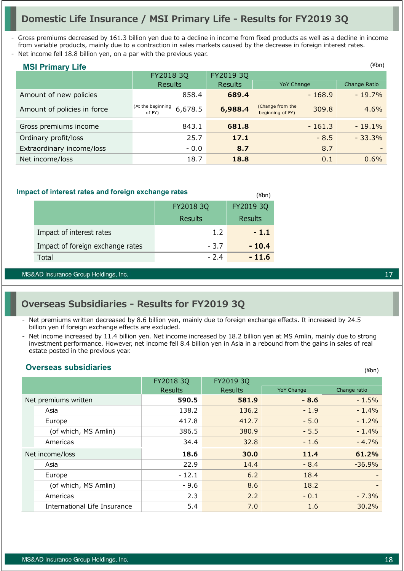# **Domestic Life Insurance / MSI Primary Life - Results for FY2019 3Q**

Gross premiums decreased by 161.3 billion yen due to a decline in income from fixed products as well as a decline in income from variable products, mainly due to a contraction in sales markets caused by the decrease in foreign interest rates.

- Net income fell 18.8 billion yen, on a par with the previous year.

| <b>MSI Primary Life</b>     |                                        |                |                                               | $(\n{Fbn})$  |
|-----------------------------|----------------------------------------|----------------|-----------------------------------------------|--------------|
|                             | FY2018 3Q                              | FY2019 3Q      |                                               |              |
|                             | <b>Results</b>                         | <b>Results</b> | <b>YoY Change</b>                             | Change Ratio |
| Amount of new policies      | 858.4                                  | 689.4          | $-168.9$                                      | $-19.7%$     |
| Amount of policies in force | (At the beginning<br>6,678.5<br>of FY) | 6,988.4        | (Change from the<br>309.8<br>beginning of FY) | 4.6%         |
| Gross premiums income       | 843.1                                  | 681.8          | $-161.3$                                      | $-19.1%$     |
| Ordinary profit/loss        | 25.7                                   | 17.1           | $-8.5$                                        | $-33.3\%$    |
| Extraordinary income/loss   | $-0.0$                                 | 8.7            | 8.7                                           |              |
| Net income/loss             | 18.7                                   | 18.8           | 0.1                                           | 0.6%         |

(¥bn)

#### **Impact of interest rates and foreign exchange rates**

|                                  | FY2018 3Q      | FY2019 3Q      |
|----------------------------------|----------------|----------------|
|                                  | <b>Results</b> | <b>Results</b> |
| Impact of interest rates         | 1.2            | $-1.1$         |
| Impact of foreign exchange rates | $-3.7$         | $-10.4$        |
| Total                            | $-2.4$         | $-11.6$        |

MS&AD Insurance Group Holdings, Inc.

# **Overseas Subsidiaries - Results for FY2019 3Q**

- Net premiums written decreased by 8.6 billion yen, mainly due to foreign exchange effects. It increased by 24.5 billion yen if foreign exchange effects are excluded.
- Net income increased by 11.4 billion yen. Net income increased by 18.2 billion yen at MS Amlin, mainly due to strong investment performance. However, net income fell 8.4 billion yen in Asia in a rebound from the gains in sales of real estate posted in the previous year.

### **Overseas subsidiaries**

|                              | FY2018 3Q      | FY2019 3Q      |                   |              |
|------------------------------|----------------|----------------|-------------------|--------------|
|                              | <b>Results</b> | <b>Results</b> | <b>YoY Change</b> | Change ratio |
| Net premiums written         | 590.5          | 581.9          | $-8.6$            | $-1.5%$      |
| Asia                         | 138.2          | 136.2          | $-1.9$            | $-1.4%$      |
| Europe                       | 417.8          | 412.7          | $-5.0$            | $-1.2%$      |
| (of which, MS Amlin)         | 386.5          | 380.9          | $-5.5$            | $-1.4%$      |
| Americas                     | 34.4           | 32.8           | $-1.6$            | $-4.7%$      |
| Net income/loss              | 18.6           | 30.0           | 11.4              | 61.2%        |
| Asia                         | 22.9           | 14.4           | $-8.4$            | $-36.9%$     |
| Europe                       | $-12.1$        | 6.2            | 18.4              |              |
| (of which, MS Amlin)         | $-9.6$         | 8.6            | 18.2              |              |
| Americas                     | 2.3            | 2.2            | $-0.1$            | $-7.3%$      |
| International Life Insurance | 5.4            | 7.0            | 1.6               | 30.2%        |

17

(¥bn)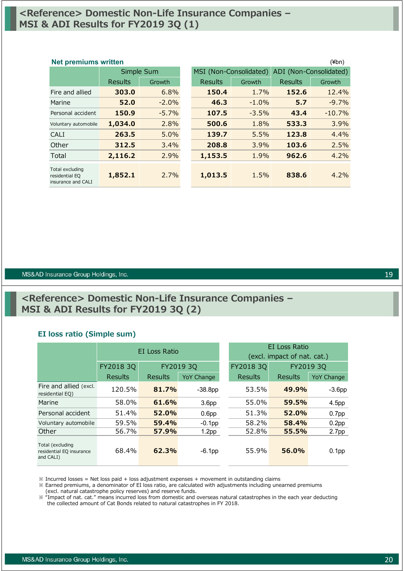# **<Reference> Domestic Non-Life Insurance Companies – MSI & ADI Results for FY2019 3Q (1)**

### Results Growth Results Growth Results Growth Fire and allied **303.0** 6.8% **150.4** 1.7% **152.6** 12.4% Marine **52.0** -2.0% **46.3** -1.0% **5.7** -9.7% Personal accident **150.9** -5.7% **107.5** -3.5% **43.4** -10.7% Voluntary automobile **1,034.0** 2.8% **500.6** 1.8% **533.3** 3.9% CALI **263.5** 5.0% **139.7** 5.5% **123.8** 4.4% Other **312.5** 3.4% **208.8** 3.9% **103.6** 2.5% Total **2,116.2** 2.9% **1,153.5** 1.9% **962.6** 4.2% Total excluding residential EQ insurance and CALI **1,852.1** 2.7% **1,013.5** 1.5% **838.6** 4.2% Simple Sum MSI (Non-Consolidated) ADI (Non-Consolidated) **Net premiums written** (¥bn)

#### MS&AD Insurance Group Holdings, Inc.

# **<Reference> Domestic Non-Life Insurance Companies – MSI & ADI Results for FY2019 3Q (2)**

#### **EI loss ratio (Simple sum)**

|                                                           |           | EI Loss Ratio |                   |           | EI Loss Ratio               |                   |  |  |
|-----------------------------------------------------------|-----------|---------------|-------------------|-----------|-----------------------------|-------------------|--|--|
|                                                           |           |               |                   |           | (excl. impact of nat. cat.) |                   |  |  |
|                                                           | FY2018 3Q |               | FY2019 3Q         | FY2018 3Q | FY2019 3Q                   |                   |  |  |
|                                                           | Results   | Results       | <b>YoY Change</b> | Results   | Results                     | <b>YoY Change</b> |  |  |
| Fire and allied (excl.<br>residential EQ)                 | 120.5%    | 81.7%         | $-38.8pp$         | 53.5%     | 49.9%                       | $-3.6pp$          |  |  |
| Marine                                                    | 58.0%     | 61.6%         | 3.6 <sub>pp</sub> | 55.0%     | 59.5%                       | 4.5pp             |  |  |
| Personal accident                                         | 51.4%     | 52.0%         | 0.6 <sub>pp</sub> | 51.3%     | 52.0%                       | 0.7 <sub>pp</sub> |  |  |
| Voluntary automobile                                      | 59.5%     | 59.4%         | $-0.1$ pp         | 58.2%     | 58.4%                       | 0.2 <sub>pp</sub> |  |  |
| Other                                                     | 56.7%     | 57.9%         | 1.2 <sub>pp</sub> | 52.8%     | 55.5%                       | 2.7 <sub>pp</sub> |  |  |
| Total (excluding<br>residential EQ insurance<br>and CALI) | 68.4%     | 62.3%         | $-6.1$ pp         | 55.9%     | 56.0%                       | 0.1 <sub>pp</sub> |  |  |

 $\frac{1}{2}$  Incurred losses = Net loss paid + loss adjustment expenses + movement in outstanding claims

※ Earned premiums, a denominator of EI loss ratio, are calculated with adjustments including unearned premiums (excl. natural catastrophe policy reserves) and reserve funds.

※ "Impact of nat. cat." means incurred loss from domestic and overseas natural catastrophes in the each year deducting the collected amount of Cat Bonds related to natural catastrophes in FY 2018.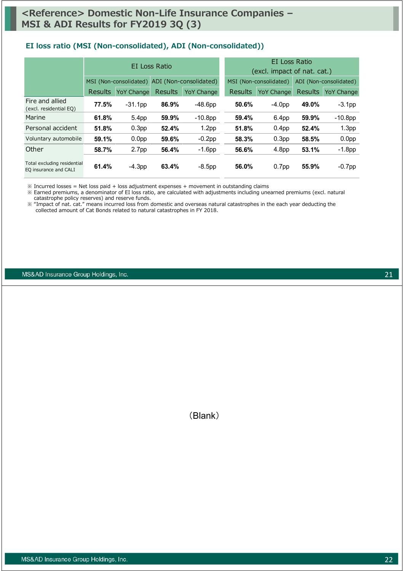### **EI loss ratio (MSI (Non-consolidated), ADI (Non-consolidated))**

|                                                      |                |                   | EI Loss Ratio  |                                               |         | EI Loss Ratio<br>(excl. impact of nat. cat.) |                        |                   |  |  |
|------------------------------------------------------|----------------|-------------------|----------------|-----------------------------------------------|---------|----------------------------------------------|------------------------|-------------------|--|--|
|                                                      |                |                   |                | MSI (Non-consolidated) ADI (Non-consolidated) |         | MSI (Non-consolidated)                       | ADI (Non-consolidated) |                   |  |  |
|                                                      | <b>Results</b> | <b>YoY Change</b> | <b>Results</b> | YoY Change                                    | Results | <b>YoY Change</b>                            | <b>Results</b>         | <b>YoY Change</b> |  |  |
| Fire and allied<br>(excl. residential EQ)            | 77.5%          | $-31.1$ pp        | 86.9%          | $-48.6pp$                                     | 50.6%   | $-4.0pp$                                     | 49.0%                  | $-3.1$ pp         |  |  |
| Marine                                               | 61.8%          | 5.4 <sub>pp</sub> | 59.9%          | $-10.8$ pp                                    | 59.4%   | 6.4 <sub>pp</sub>                            | 59.9%                  | $-10.8$ pp        |  |  |
| Personal accident                                    | 51.8%          | 0.3 <sub>pp</sub> | 52.4%          | 1.2 <sub>pp</sub>                             | 51.8%   | 0.4 <sub>pp</sub>                            | 52.4%                  | 1.3 <sub>pp</sub> |  |  |
| Voluntary automobile                                 | 59.1%          | 0.0 <sub>pp</sub> | 59.6%          | $-0.2$ pp                                     | 58.3%   | 0.3 <sub>pp</sub>                            | 58.5%                  | 0.0 <sub>pp</sub> |  |  |
| Other                                                | 58.7%          | 2.7 <sub>pp</sub> | 56.4%          | $-1.6$ pp                                     | 56.6%   | 4.8 <sub>pp</sub>                            | 53.1%                  | $-1.8$ pp         |  |  |
| Total excluding residential<br>EQ insurance and CALI | 61.4%          | $-4.3pp$          | 63.4%          | $-8.5$ pp                                     | 56.0%   | 0.7 <sub>pp</sub>                            | 55.9%                  | $-0.7$ pp         |  |  |

 $\%$  Incurred losses = Net loss paid + loss adjustment expenses + movement in outstanding claims

※ Earned premiums, a denominator of EI loss ratio, are calculated with adjustments including unearned premiums (excl. natural catastrophe policy reserves) and reserve funds.

※ "Impact of nat. cat." means incurred loss from domestic and overseas natural catastrophes in the each year deducting the collected amount of Cat Bonds related to natural catastrophes in FY 2018.

MS&AD Insurance Group Holdings, Inc.

(Blank)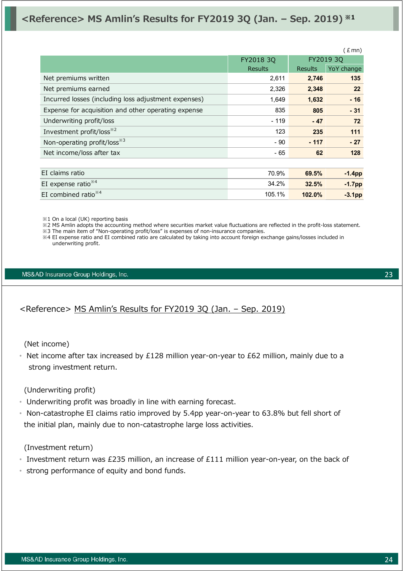# **<Reference> MS Amlin's Results for FY2019 3Q (Jan. – Sep. 2019) ※1**

|                                                      |                |                | (Emn)      |  |
|------------------------------------------------------|----------------|----------------|------------|--|
|                                                      | FY2018 3Q      |                |            |  |
|                                                      | <b>Results</b> | <b>Results</b> | YoY change |  |
| Net premiums written                                 | 2,611          | 2,746          | 135        |  |
| Net premiums earned                                  | 2,326          | 2,348          | 22         |  |
| Incurred losses (including loss adjustment expenses) | 1,649          | 1,632          | $-16$      |  |
| Expense for acquisition and other operating expense  | 835            | 805            | $-31$      |  |
| Underwriting profit/loss                             | $-119$         | $-47$          | 72         |  |
| Investment profit/loss <sup>*2</sup>                 | 123            | 235            | 111        |  |
| Non-operating profit/loss <sup>*3</sup>              | $-90$          | $-117$         | $-27$      |  |
| Net income/loss after tax                            | - 65           | 62             | 128        |  |
|                                                      |                |                |            |  |
| EI claims ratio                                      | 70.9%          | 69.5%          | $-1.4pp$   |  |
| EI expense ratio $*4$                                | 34.2%          | 32.5%          | $-1.7$ pp  |  |
| EI combined ratio $*4$                               | 105.1%         | 102.0%         | $-3.1pp$   |  |

※1 On a local (UK) reporting basis

※2 MS Amlin adopts the accounting method where securities market value fluctuations are reflected in the profit-loss statement.

※3 The main item of "Non-operating profit/loss" is expenses of non-insurance companies.

※4 EI expense ratio and EI combined ratio are calculated by taking into account foreign exchange gains/losses included in underwriting profit.

#### MS&AD Insurance Group Holdings, Inc.

<Reference> MS Amlin's Results for FY2019 3Q (Jan. – Sep. 2019)

(Net income)

• Net income after tax increased by £128 million year-on-year to £62 million, mainly due to a strong investment return.

(Underwriting profit)

- Underwriting profit was broadly in line with earning forecast.
- Non-catastrophe EI claims ratio improved by 5.4pp year-on-year to 63.8% but fell short of the initial plan, mainly due to non-catastrophe large loss activities.

(Investment return)

- Investment return was £235 million, an increase of £111 million year-on-year, on the back of
- strong performance of equity and bond funds.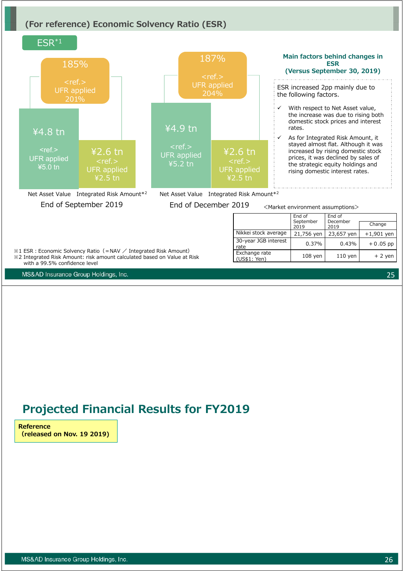# **(For reference) Economic Solvency Ratio (ESR)**



# **Projected Financial Results for FY2019**

**Reference (released on Nov. 19 2019)**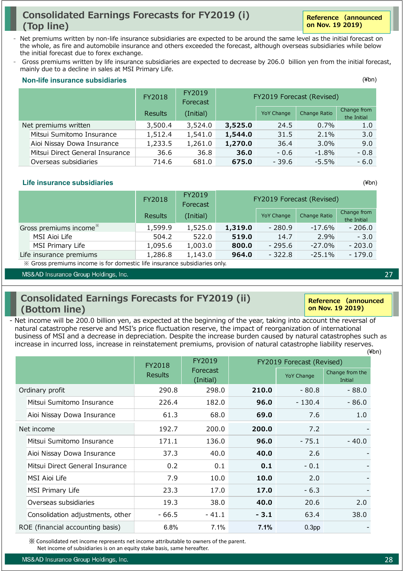# **Consolidated Earnings Forecasts for FY2019 (i) (Top line)**

- Net premiums written by non-life insurance subsidiaries are expected to be around the same level as the initial forecast on the whole, as fire and automobile insurance and others exceeded the forecast, although overseas subsidiaries while below the initial forecast due to forex exchange.
- Gross premiums written by life insurance subsidiaries are expected to decrease by 206.0 billion yen from the initial forecast, mainly due to a decline in sales at MSI Primary Life.

#### FY2018 FY2019 Forecast Results (Initial) YoY Change Change Ratio Change from the Initial Net premiums written 3,500.4 3,524.0 **3,525.0** 24.5 0.7% 1.0 Mitsui Sumitomo Insurance 1,512.4 1,541.0 **1,544.0** 31.5 2.1% 3.0 Aioi Nissay Dowa Insurance 1,233.5 1,261.0 **1,270.0** 36.4 3.0% 9.0 Mitsui Direct General Insurance 36.6 36.8 **36.0** - 0.6 -1.8% - 0.8 Overseas subsidiaries 714.6 681.0 **675.0** - 39.6 -5.5% - 6.0 FY2019 Forecast (Revised) (¥bn) **Non-life insurance subsidiaries**

### **Life insurance subsidiaries**

|                                    | FY2018                      | FY2019<br>Forecast | FY2019 Forecast (Revised)     |                   |              |                            |
|------------------------------------|-----------------------------|--------------------|-------------------------------|-------------------|--------------|----------------------------|
|                                    | (Initial)<br><b>Results</b> |                    |                               | <b>YoY Change</b> | Change Ratio | Change from<br>the Initial |
| Gross premiums income <sup>*</sup> | 1,599.9                     | 1,525.0            | 1,319.0                       | $-280.9$          | -17.6%       | - 206.0                    |
| MSI Aioi Life                      | 504.2                       | 522.0              | 519.0                         | 14.7              | 2.9%         | $-3.0$                     |
| MSI Primary Life                   | 1,095.6                     | 1,003.0            | 800.0                         | $-295.6$          | $-27.0\%$    | $-203.0$                   |
| Life insurance premiums            | 1,286.8                     | 1,143.0            | 964.0<br>$-322.8$<br>$-25.1%$ |                   |              | $-179.0$                   |

※ Gross premiums income is for domestic life insurance subsidiaries only.

MS&AD Insurance Group Holdings, Inc.

# **Consolidated Earnings Forecasts for FY2019 (ii) (Bottom line)**

(¥bn) - Net income will be 200.0 billion yen, as expected at the beginning of the year, taking into account the reversal of natural catastrophe reserve and MSI's price fluctuation reserve, the impact of reorganization of international business of MSI and a decrease in depreciation. Despite the increase burden caused by natural catastrophes such as increase in incurred loss, increase in reinstatement premiums, provision of natural catastrophe liability reserves.

|                                  | FY2018         | FY2019                |        | FY2019 Forecast (Revised) |                            |
|----------------------------------|----------------|-----------------------|--------|---------------------------|----------------------------|
|                                  | <b>Results</b> | Forecast<br>(Initial) |        | <b>YoY Change</b>         | Change from the<br>Initial |
| Ordinary profit                  | 290.8          | 298.0                 | 210.0  | - 80.8                    | - 88.0                     |
| Mitsui Sumitomo Insurance        | 226.4          | 182.0                 | 96.0   | $-130.4$                  | - 86.0                     |
| Aioi Nissay Dowa Insurance       | 61.3           | 68.0                  | 69.0   | 7.6                       | 1.0                        |
| Net income                       | 192.7          | 200.0                 | 200.0  | 7.2                       |                            |
| Mitsui Sumitomo Insurance        | 171.1          | 136.0                 | 96.0   | $-75.1$                   | $-40.0$                    |
| Aioi Nissay Dowa Insurance       | 37.3           | 40.0                  | 40.0   | 2.6                       |                            |
| Mitsui Direct General Insurance  | 0.2            | 0.1                   | 0.1    | $-0.1$                    |                            |
| MSI Aioi Life                    | 7.9            | 10.0                  | 10.0   | 2.0                       |                            |
| MSI Primary Life                 | 23.3           | 17.0                  | 17.0   | $-6.3$                    |                            |
| Overseas subsidiaries            | 19.3           | 38.0                  | 40.0   | 20.6                      | 2.0                        |
| Consolidation adjustments, other | - 66.5         | $-41.1$               | $-3.1$ | 63.4                      | 38.0                       |
| ROE (financial accounting basis) | 6.8%           | 7.1%                  | 7.1%   | 0.3 <sub>pp</sub>         |                            |

※ Consolidated net income represents net income attributable to owners of the parent.

Net income of subsidiaries is on an equity stake basis, same hereafter.

(¥bn)

**Reference (announced on Nov. 19 2019)**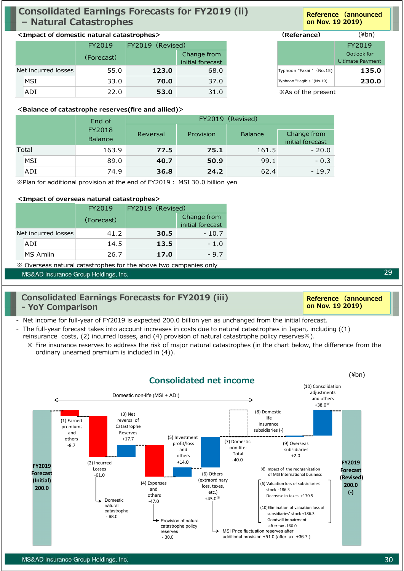# **Consolidated Earnings Forecasts for FY2019 (ii) – Natural Catastrophes**

### **<Impact of domestic natural catastrophes> (Referance)**

|                     | FY2019     | FY2019 (Revised) |                  |                           |                  |
|---------------------|------------|------------------|------------------|---------------------------|------------------|
|                     | (Forecast) |                  | Change from      |                           |                  |
|                     |            |                  | initial forecast |                           | Uitimate Payment |
| Net incurred losses | 55.0       | 123.0            | 68.0             | Typhoon "Faxai " (No.15)  |                  |
| <b>MSI</b>          | 33.0       | 70.0             | 37.0             | Typhoon "Hagibis "(No.19) |                  |
| ADI                 | 22.0       | 53.0             | 31.0             | *As of the present        |                  |

### **<Balance of catastrophe reserves(fire and allied)>**

| End of |            |                          | FY2019 (Revised) |           |                |                                 |  |  |  |
|--------|------------|--------------------------|------------------|-----------|----------------|---------------------------------|--|--|--|
|        |            | FY2018<br><b>Balance</b> | Reversal         | Provision | <b>Balance</b> | Change from<br>initial forecast |  |  |  |
|        | Total      | 163.9                    | 77.5             | 75.1      | 161.5          | $-20.0$                         |  |  |  |
|        | <b>MSI</b> | 89.0                     | 40.7             | 50.9      | 99.1           | $-0.3$                          |  |  |  |
|        | ADI        | 74.9                     | 36.8             | 24.2      | 62.4           | $-19.7$                         |  |  |  |

※Plan for additional provision at the end of FY2019︓ MSI 30.0 billion yen

### **<Impact of overseas natural catastrophes>**

|                     |          | FY2019     | FY2019 (Revised) |                                 |
|---------------------|----------|------------|------------------|---------------------------------|
|                     |          | (Forecast) |                  | Change from<br>initial forecast |
| Net incurred losses |          | 41.2       | 30.5             | $-10.7$                         |
|                     | ADI      | 14.5       | 13.5             | $-1.0$                          |
|                     | MS Amlin | 26.7       | 17.0             | - 9.7                           |

※ Overseas natural catastrophes for the above two campanies only

MS&AD Insurance Group Holdings, Inc.

# **Consolidated Earnings Forecasts for FY2019 (iii) - YoY Comparison**

- Net income for full-year of FY2019 is expected 200.0 billion yen as unchanged from the initial forecast.

- The full-year forecast takes into account increases in costs due to natural catastrophes in Japan, including ((1) reinsurance costs, (2) incurred losses, and (4) provision of natural catastrophe policy reserves※).
	- ※ Fire insurance reserves to address the risk of major natural catastrophes (in the chart below, the difference from the ordinary unearned premium is included in (4)).



**Reference (announced on Nov. 19 2019)**

# (¥bn)

|                           | FY2019           |  |  |  |
|---------------------------|------------------|--|--|--|
|                           | Ootlook for      |  |  |  |
|                           | Uitimate Payment |  |  |  |
| Typhoon "Faxai " (No.15)  | 135.0            |  |  |  |
| Typhoon "Hagibis "(No.19) | 230.0            |  |  |  |
| X As of the present       |                  |  |  |  |

MS&AD Insurance Group Holdings, Inc.

29

**Reference (announced on Nov. 19 2019)**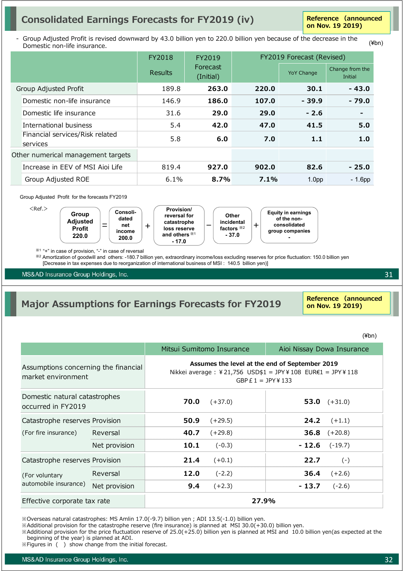# **Consolidated Earnings Forecasts for FY2019 (iv)**

**Reference (announced on Nov. 19 2019)**

(¥bn)

Group Adjusted Profit is revised downward by 43.0 billion yen to 220.0 billion yen because of the decrease in the Domestic non-life insurance.

|                                             | FY2018  | FY2019                |         | FY2019 Forecast (Revised) |                            |  |  |
|---------------------------------------------|---------|-----------------------|---------|---------------------------|----------------------------|--|--|
|                                             | Results | Forecast<br>(Initial) |         | <b>YoY Change</b>         | Change from the<br>Initial |  |  |
| Group Adjusted Profit                       | 189.8   | 263.0                 | 220.0   | 30.1                      | $-43.0$                    |  |  |
| Domestic non-life insurance                 | 146.9   | 186.0                 | 107.0   | $-39.9$                   | $-79.0$                    |  |  |
| Domestic life insurance                     | 31.6    | 29.0                  | 29.0    | $-2.6$                    |                            |  |  |
| International business                      | 5.4     | 42.0                  | 47.0    | 41.5                      | 5.0                        |  |  |
| Financial services/Risk related<br>services | 5.8     | 6.0                   | 7.0     | 1.1                       | 1.0                        |  |  |
| Other numerical management targets          |         |                       |         |                           |                            |  |  |
| Increase in EEV of MSI Aioi Life            | 819.4   | 927.0                 | 902.0   | 82.6                      | $-25.0$                    |  |  |
| Group Adjusted ROE                          | 6.1%    | 8.7%                  | $7.1\%$ | 1.0 <sub>pp</sub>         | $-1.6$ pp                  |  |  |

#### Group Adjusted Profit for the forecasts FY2019



※1 "+" in case of provision, "-" in case of reversal

※<sup>2</sup> Amortization of goodwill and others: -180.7 billion yen, extraordinary income/loss excluding reserves for price fluctuation: 150.0 billion yen [Decrease in tax expenses due to reorganization of international business of MSI : 140.5 billion yen)]

MS&AD Insurance Group Holdings, Inc.

# **Major Assumptions for Earnings Forecasts for FY2019**

**Reference (announced on Nov. 19 2019)**

(¥bn)

31

|                                                            |               |                                                                                                                                     | Mitsui Sumitomo Insurance | Aioi Nissay Dowa Insurance |                |  |  |
|------------------------------------------------------------|---------------|-------------------------------------------------------------------------------------------------------------------------------------|---------------------------|----------------------------|----------------|--|--|
| Assumptions concerning the financial<br>market environment |               | Assumes the level at the end of September 2019<br>Nikkei average : ¥21,756 USD\$1 = JPY¥108 EUR€1 = JPY¥118<br>GBP $E1 = JPY$ ¥ 133 |                           |                            |                |  |  |
| Domestic natural catastrophes<br>occurred in FY2019        |               | 70.0                                                                                                                                | $(+37.0)$                 |                            | 53.0 $(+31.0)$ |  |  |
| Catastrophe reserves Provision                             |               | 50.9                                                                                                                                | $(+29.5)$                 | 24.2                       | $(+1.1)$       |  |  |
| (For fire insurance)                                       | Reversal      | 40.7                                                                                                                                | $(+29.8)$                 | 36.8                       | $(+20.8)$      |  |  |
|                                                            | Net provision | 10.1                                                                                                                                | $(-0.3)$                  | - 12.6                     | $(-19.7)$      |  |  |
| Catastrophe reserves Provision                             |               | 21.4                                                                                                                                | $(+0.1)$                  | 22.7                       | $(-)$          |  |  |
| (For voluntary                                             | Reversal      | 12.0                                                                                                                                | $(-2.2)$                  | 36.4                       | $(+2.6)$       |  |  |
| automobile insurance)                                      | Net provision | 9.4                                                                                                                                 | $(+2.3)$                  | - 13.7                     | $(-2.6)$       |  |  |
| Effective corporate tax rate                               |               |                                                                                                                                     | 27.9%                     |                            |                |  |  |

※Overseas natural catastrophes: MS Amlin 17.0(-9.7) billion yen ; ADI 13.5(-1.0) billion yen.

 $\%$ Additional provision for the catastrophe reserve (fire insurance) is planned at MSI 30.0(+30.0) billion yen.

※Additional provision for the price fluctuation reserve of 25.0(+25.0) billion yen is planned at MSI and 10.0 billion yen(as expected at the beginning of the year) is planned at ADI.

※Figures in ( ) show change from the initial forecast.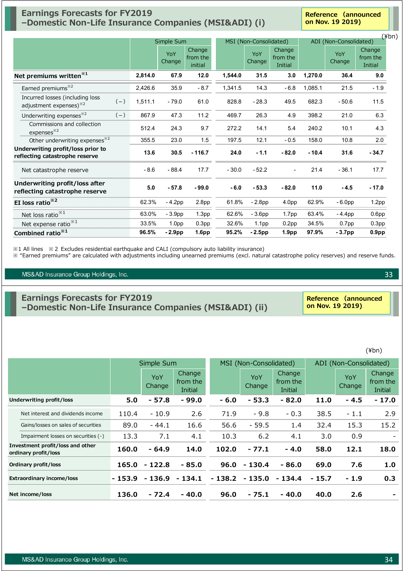# **Earnings Forecasts for FY2019 –Domestic Non-Life Insurance Companies (MSI&ADI) (i)**

**Reference (announced on Nov. 19 2019)**

|                                                                       |       | Simple Sum |                   |                               | MSI (Non-Consolidated) |                   |                               | ADI (Non-Consolidated) |               | $(\n{Fbn})$                   |
|-----------------------------------------------------------------------|-------|------------|-------------------|-------------------------------|------------------------|-------------------|-------------------------------|------------------------|---------------|-------------------------------|
|                                                                       |       |            | YoY<br>Change     | Change<br>from the<br>initial |                        | YoY<br>Change     | Change<br>from the<br>Initial |                        | YoY<br>Change | Change<br>from the<br>Initial |
| Net premiums written <sup>*1</sup>                                    |       | 2,814.0    | 67.9              | $12.0$                        | 1,544.0                | 31.5              | 3.0                           | 1,270.0                | 36.4          | 9.0                           |
| Earned premiums <sup>*2</sup>                                         |       | 2,426.6    | 35.9              | $-8.7$                        | 1,341.5                | 14.3              | $-6.8$                        | 1,085.1                | 21.5          | $-1.9$                        |
| Incurred losses (including loss<br>adjustment expenses) <sup>32</sup> | $(-)$ | 1,511.1    | $-79.0$           | 61.0                          | 828.8                  | $-28.3$           | 49.5                          | 682.3                  | $-50.6$       | 11.5                          |
| Underwriting expenses <sup>*2</sup>                                   | $(-)$ | 867.9      | 47.3              | 11.2                          | 469.7                  | 26.3              | 4.9                           | 398.2                  | 21.0          | 6.3                           |
| Commissions and collection<br>expenses <sup>32</sup>                  |       | 512.4      | 24.3              | 9.7                           | 272.2                  | 14.1              | 5.4                           | 240.2                  | 10.1          | 4.3                           |
| Other underwriting expenses <sup>32</sup>                             |       | 355.5      | 23.0              | 1.5                           | 197.5                  | 12.1              | $-0.5$                        | 158.0                  | 10.8          | 2.0                           |
| Underwriting profit/loss prior to<br>reflecting catastrophe reserve   |       | 13.6       | 30.5              | $-116.7$                      | 24.0                   | $-1.1$            | $-82.0$                       | $-10.4$                | 31.6          | $-34.7$                       |
| Net catastrophe reserve                                               |       | $-8.6$     | $-88.4$           | 17.7                          | $-30.0$                | $-52.2$           |                               | 21.4                   | $-36.1$       | 17.7                          |
| Underwriting profit/loss after<br>reflecting catastrophe reserve      |       | 5.0        | $-57.8$           | $-99.0$                       | $-6.0$                 | $-53.3$           | $-82.0$                       | 11.0                   | $-4.5$        | $-17.0$                       |
| EI loss ratio <sup>*2</sup>                                           |       | 62.3%      | $-4.2pp$          | 2.8 <sub>pp</sub>             | 61.8%                  | $-2.8pp$          | 4.0pp                         | 62.9%                  | $-6.0pp$      | 1.2 <sub>pp</sub>             |
| Net loss ratio <sup>**1</sup>                                         |       | 63.0%      | $-3.9pp$          | 1.3 <sub>pp</sub>             | 62.6%                  | $-3.6pp$          | 1.7 <sub>pp</sub>             | 63.4%                  | $-4.4$ pp     | 0.6 <sub>pp</sub>             |
| Net expense ratio <sup>*1</sup>                                       |       | 33.5%      | 1.0 <sub>pp</sub> | 0.3 <sub>pp</sub>             | 32.6%                  | 1.1 <sub>pp</sub> | 0.2 <sub>pp</sub>             | 34.5%                  | $0.7$ pp      | 0.3 <sub>pp</sub>             |
| Combined ratio <sup>*1</sup>                                          |       | 96.5%      | $-2.9pp$          | 1.6 <sub>pp</sub>             | 95.2%                  | $-2.5$ pp         | 1.9 <sub>pp</sub>             | 97.9%                  | $-3.7pp$      | 0.9 <sub>pp</sub>             |

※1 All lines ※2 Excludes residential earthquake and CALI (compulsory auto liability insurance)

※ "Earned premiums" are calculated with adjustments including unearned premiums (excl. natural catastrophe policy reserves) and reserve funds.

#### MS&AD Insurance Group Holdings, Inc.

# **Earnings Forecasts for FY2019 –Domestic Non-Life Insurance Companies (MSI&ADI) (ii)**

**Reference (announced on Nov. 19 2019)**

(¥bn)

|                                                          | Simple Sum |               |                                      | MSI (Non-Consolidated) |               |                                      | ADI (Non-Consolidated) |               |                                      |
|----------------------------------------------------------|------------|---------------|--------------------------------------|------------------------|---------------|--------------------------------------|------------------------|---------------|--------------------------------------|
|                                                          |            | YoY<br>Change | Change<br>from the<br><b>Initial</b> |                        | YoY<br>Change | Change<br>from the<br><b>Initial</b> |                        | YoY<br>Change | <b>Change</b><br>from the<br>Initial |
| <b>Underwriting profit/loss</b>                          | 5.0        | $-57.8$       | $-99.0$                              | $-6.0$                 | $-53.3$       | $-82.0$                              | 11.0                   | $-4.5$        | $-17.0$                              |
| Net interest and dividends income                        | 110.4      | $-10.9$       | 2.6                                  | 71.9                   | $-9.8$        | $-0.3$                               | 38.5                   | $-1.1$        | 2.9                                  |
| Gains/losses on sales of securities                      | 89.0       | $-44.1$       | 16.6                                 | 56.6                   | $-59.5$       | 1.4                                  | 32.4                   | 15.3          | 15.2                                 |
| Impairment losses on securities (-)                      | 13.3       | 7.1           | 4.1                                  | 10.3                   | 6.2           | 4.1                                  | 3.0                    | 0.9           |                                      |
| Investment profit/loss and other<br>ordinary profit/loss | 160.0      | $-64.9$       | 14.0                                 | 102.0                  | $-77.1$       | $-4.0$                               | 58.0                   | 12.1          | 18.0                                 |
| Ordinary profit/loss                                     | 165.0      | $-122.8$      | $-85.0$                              | 96.0                   | $-130.4$      | $-86.0$                              | 69.0                   | 7.6           | 1.0                                  |
| <b>Extraordinary income/loss</b>                         | - 153.9    | $-136.9$      | $-134.1$                             | - 138.2                | $-135.0$      | $-134.4$                             | $-15.7$                | $-1.9$        | 0.3                                  |
| Net income/loss                                          | 136.0      | $-72.4$       | $-40.0$                              | 96.0                   | - 75.1        | $-40.0$                              | 40.0                   | 2.6           |                                      |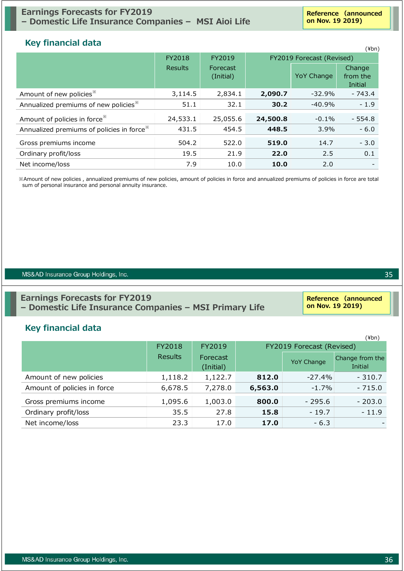# **Earnings Forecasts for FY2019 – Domestic Life Insurance Companies – MSI Aioi Life**

**Reference (announced on Nov. 19 2019)**

# **Key financial data**

| <b>INCY INTERNATION</b>                               |                |                       |          |                           | $(\n{Fbn})$                   |
|-------------------------------------------------------|----------------|-----------------------|----------|---------------------------|-------------------------------|
|                                                       | FY2018         | FY2019                |          | FY2019 Forecast (Revised) |                               |
|                                                       | <b>Results</b> | Forecast<br>(Initial) |          | <b>YoY Change</b>         | Change<br>from the<br>Initial |
| Amount of new policies <sup>**</sup>                  | 3,114.5        | 2,834.1               | 2,090.7  | $-32.9%$                  | $-743.4$                      |
| Annualized premiums of new policies <sup>*</sup>      | 51.1           | 32.1                  | 30.2     | $-40.9%$                  | $-1.9$                        |
| Amount of policies in force <sup>**</sup>             | 24,533.1       | 25,055.6              | 24,500.8 | $-0.1\%$                  | $-554.8$                      |
| Annualized premiums of policies in force <sup>*</sup> | 431.5          | 454.5                 | 448.5    | 3.9%                      | $-6.0$                        |
| Gross premiums income                                 | 504.2          | 522.0                 | 519.0    | 14.7                      | $-3.0$                        |
| Ordinary profit/loss                                  | 19.5           | 21.9                  | 22.0     | 2.5                       | 0.1                           |
| Net income/loss                                       | 7.9            | 10.0                  | 10.0     | 2.0                       |                               |

※Amount of new policies , annualized premiums of new policies, amount of policies in force and annualized premiums of policies in force are total sum of personal insurance and personal annuity insurance.

#### MS&AD Insurance Group Holdings, Inc.

# **Earnings Forecasts for FY2019 – Domestic Life Insurance Companies – MSI Primary Life**

#### **Reference (announced on Nov. 19 2019)**

# **Key financial data**

|                             |                |                       |         |                            | $(\n{Fbn})$ |
|-----------------------------|----------------|-----------------------|---------|----------------------------|-------------|
|                             | FY2018         | FY2019                |         | FY2019 Forecast (Revised)  |             |
|                             | <b>Results</b> | Forecast<br>(Initial) |         | Change from the<br>Initial |             |
| Amount of new policies      | 1,118.2        | 1,122.7               | 812.0   | $-27.4\%$                  | $-310.7$    |
| Amount of policies in force | 6,678.5        | 7,278.0               | 6,563.0 | $-1.7\%$                   | $-715.0$    |
| Gross premiums income       | 1,095.6        | 1,003.0               | 800.0   | $-295.6$                   | $-203.0$    |
| Ordinary profit/loss        | 35.5           | 27.8                  | 15.8    | $-19.7$                    | $-11.9$     |
| Net income/loss             | 23.3           | 17.0                  | 17.0    | $-6.3$                     |             |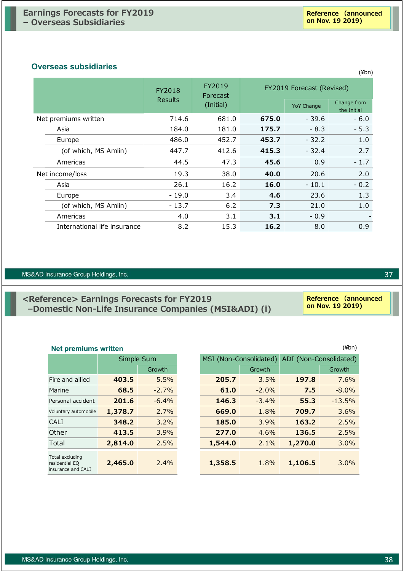#### **Overseas subsidiaries**

|                              | FY2018         | FY2019<br>Forecast | FY2019 Forecast (Revised) |                   |                            |
|------------------------------|----------------|--------------------|---------------------------|-------------------|----------------------------|
|                              | <b>Results</b> | (Initial)          |                           | <b>YoY Change</b> | Change from<br>the Initial |
| Net premiums written         | 714.6          | 681.0              | 675.0                     | $-39.6$           | $-6.0$                     |
| Asia                         | 184.0          | 181.0              | 175.7                     | $-8.3$            | $-5.3$                     |
| Europe                       | 486.0          | 452.7              | 453.7                     | $-32.2$           | 1.0                        |
| (of which, MS Amlin)         | 447.7          | 412.6              | 415.3                     | $-32.4$           | 2.7                        |
| Americas                     | 44.5           | 47.3               | 45.6                      | 0.9               | $-1.7$                     |
| Net income/loss              | 19.3           | 38.0               | 40.0                      | 20.6              | 2.0                        |
| Asia                         | 26.1           | 16.2               | 16.0                      | $-10.1$           | $-0.2$                     |
| Europe                       | - 19.0         | 3.4                | 4.6                       | 23.6              | 1.3                        |
| (of which, MS Amlin)         | $-13.7$        | 6.2                | 7.3                       | 21.0              | 1.0                        |
| Americas                     | 4.0            | 3.1                | 3.1                       | $-0.9$            |                            |
| International life insurance | 8.2            | 15.3               | 16.2                      | 8.0               | 0.9                        |

#### MS&AD Insurance Group Holdings, Inc.

# **<Reference> Earnings Forecasts for FY2019 –Domestic Non-Life Insurance Companies (MSI&ADI) (i)**

# **Net premiums written** (¥bn)

|                                                         | Simple Sum |          |  |  |  |
|---------------------------------------------------------|------------|----------|--|--|--|
|                                                         |            | Growth   |  |  |  |
| Fire and allied                                         | 403.5      | 5.5%     |  |  |  |
| Marine                                                  | 68.5       | $-2.7%$  |  |  |  |
| Personal accident                                       | 201.6      | $-6.4\%$ |  |  |  |
| Voluntary automobile                                    | 1,378.7    | $2.7\%$  |  |  |  |
| CALI                                                    | 348.2      | $3.2\%$  |  |  |  |
| Other                                                   | 413.5      | 3.9%     |  |  |  |
| Total                                                   | 2,814.0    | 2.5%     |  |  |  |
| Total excluding<br>residential EQ<br>insurance and CALI | 2,465.0    | $2.4\%$  |  |  |  |

# Growth Growth Growth Fire and allied **403.5** 5.5% **205.7** 3.5% **197.8** 7.6% Marine **68.5** -2.7% **61.0** -2.0% **7.5** -8.0% Personal accident **201.6** -6.4% **146.3** -3.4% **55.3** -13.5% Voluntary automobile **1,378.7** 2.7% **669.0** 1.8% **709.7** 3.6% CALI **348.2** 3.2% **185.0** 3.9% **163.2** 2.5% Other **413.5** 3.9% **277.0** 4.6% **136.5** 2.5% Total **2,814.0** 2.5% **1,544.0** 2.1% **1,270.0** 3.0% **2,465.0** 2.4% **1,358.5** 1.8% **1,106.5** 3.0% MSI (Non-Consolidated) ADI (Non-Consolidated)

(¥bn)

37

**Reference (announced on Nov. 19 2019)**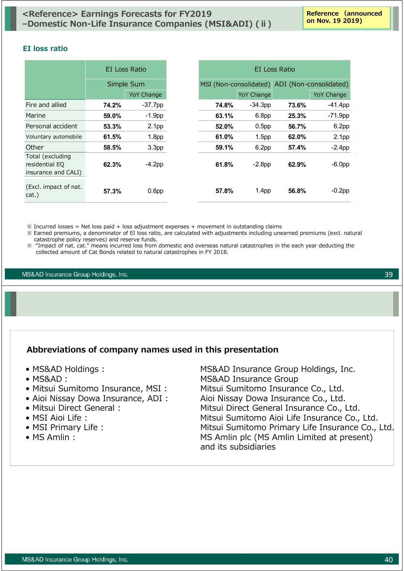#### **EI loss ratio**

|                                                           | EI Loss Ratio |                   |                        |                   |       |                        |
|-----------------------------------------------------------|---------------|-------------------|------------------------|-------------------|-------|------------------------|
|                                                           |               | Simple Sum        | MSI (Non-consolidated) |                   |       | ADI (Non-consolidated) |
|                                                           |               | <b>YoY Change</b> |                        | <b>YoY Change</b> |       | <b>YoY Change</b>      |
| Fire and allied                                           | 74.2%         | $-37.7$ pp        | 74.8%                  | $-34.3pp$         | 73.6% | $-41.4pp$              |
| Marine                                                    | 59.0%         | $-1.9pp$          | 63.1%                  | 6.8pp             | 25.3% | $-71.9$ pp             |
| Personal accident                                         | 53.3%         | 2.1 <sub>pp</sub> | 52.0%                  | 0.5 <sub>pp</sub> | 56.7% | 6.2pp                  |
| Voluntary automobile                                      | 61.5%         | 1.8 <sub>pp</sub> | 61.0%                  | 1.5 <sub>pp</sub> | 62.0% | 2.1 <sub>pp</sub>      |
| Other                                                     | 58.5%         | 3.3 <sub>pp</sub> | 59.1%                  | 6.2pp             | 57.4% | $-2.4$ pp              |
| Total (excluding<br>residential EQ<br>insurance and CALI) | 62.3%         | $-4.2$ pp         | 61.8%                  | $-2.8pp$          | 62.9% | $-6.0pp$               |
| (Excl. impact of nat.<br>cat.)                            | 57.3%         | 0.6 <sub>pp</sub> | 57.8%                  | 1.4 <sub>pp</sub> | 56.8% | $-0.2$ pp              |

 $\%$  Incurred losses = Net loss paid + loss adjustment expenses + movement in outstanding claims

※ Earned premiums, a denominator of EI loss ratio, are calculated with adjustments including unearned premiums (excl. natural catastrophe policy reserves) and reserve funds.

※ "Impact of nat. cat." means incurred loss from domestic and overseas natural catastrophes in the each year deducting the collected amount of Cat Bonds related to natural catastrophes in FY 2018.

MS&AD Insurance Group Holdings, Inc.

# **Abbreviations of company names used in this presentation**

- 
- 
- 
- 
- 
- 
- 
- 

• MS&AD Holdings : MS&AD Insurance Group Holdings, Inc. • MS&AD︓ MS&AD Insurance Group • Mitsui Sumitomo Insurance, MSI : Mitsui Sumitomo Insurance Co., Ltd. • Aioi Nissay Dowa Insurance, ADI : Aioi Nissay Dowa Insurance Co., Ltd. • Mitsui Direct General : Mitsui Direct General Insurance Co., Ltd. • MSI Aioi Life : Mitsui Sumitomo Aioi Life Insurance Co., Ltd. • MSI Primary Life : Mitsui Sumitomo Primary Life Insurance Co., Ltd. • MS Amlin :  $MS = MS$  Amlin plc (MS Amlin Limited at present) and its subsidiaries